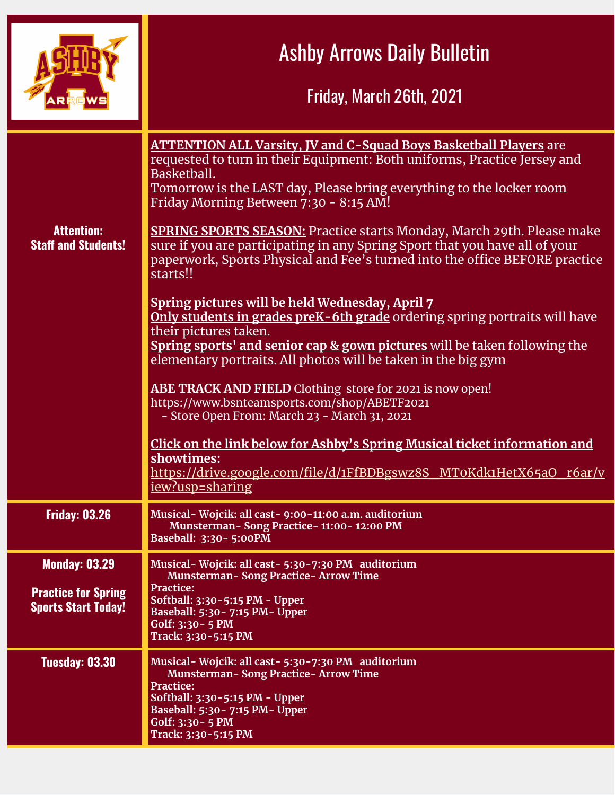|                                                                                  | <b>Ashby Arrows Daily Bulletin</b><br>Friday, March 26th, 2021                                                                                                                                                                                                                                                                                                                                                                                                                                                                                                                                                                                                                                                                                                                                    |
|----------------------------------------------------------------------------------|---------------------------------------------------------------------------------------------------------------------------------------------------------------------------------------------------------------------------------------------------------------------------------------------------------------------------------------------------------------------------------------------------------------------------------------------------------------------------------------------------------------------------------------------------------------------------------------------------------------------------------------------------------------------------------------------------------------------------------------------------------------------------------------------------|
| <b>Attention:</b><br><b>Staff and Students!</b>                                  | <b>ATTENTION ALL Varsity, JV and C-Squad Boys Basketball Players</b> are<br>requested to turn in their Equipment: Both uniforms, Practice Jersey and<br>Basketball.<br>Tomorrow is the LAST day, Please bring everything to the locker room<br>Friday Morning Between 7:30 - 8:15 AM!<br><b>SPRING SPORTS SEASON:</b> Practice starts Monday, March 29th. Please make<br>sure if you are participating in any Spring Sport that you have all of your<br>paperwork, Sports Physical and Fee's turned into the office BEFORE practice<br>starts!!<br>Spring pictures will be held Wednesday, April 7<br>Only students in grades preK-6th grade ordering spring portraits will have<br>their pictures taken.<br><b>Spring sports' and senior cap &amp; gown pictures</b> will be taken following the |
|                                                                                  | elementary portraits. All photos will be taken in the big gym<br><b>ABE TRACK AND FIELD</b> Clothing store for 2021 is now open!<br>https://www.bsnteamsports.com/shop/ABETF2021<br>- Store Open From: March 23 - March 31, 2021<br>Click on the link below for Ashby's Spring Musical ticket information and<br>showtimes:<br>https://drive.google.com/file/d/1FfBDBgswz8S MT0Kdk1HetX65aO r6ar/v<br><u>iew?usp=sharing</u>                                                                                                                                                                                                                                                                                                                                                                      |
| <b>Friday: 03.26</b>                                                             | Musical-Wojcik: all cast- 9:00-11:00 a.m. auditorium<br>Munsterman-Song Practice-11:00-12:00 PM<br>Baseball: 3:30-5:00PM                                                                                                                                                                                                                                                                                                                                                                                                                                                                                                                                                                                                                                                                          |
| <b>Monday: 03.29</b><br><b>Practice for Spring</b><br><b>Sports Start Today!</b> | Musical-Wojcik: all cast-5:30-7:30 PM auditorium<br><b>Munsterman-Song Practice-Arrow Time</b><br><b>Practice:</b><br>Softball: 3:30-5:15 PM - Upper<br>Baseball: 5:30 - 7:15 PM - Upper<br>Golf: 3:30 - 5 PM<br>Track: 3:30-5:15 PM                                                                                                                                                                                                                                                                                                                                                                                                                                                                                                                                                              |
| <b>Tuesday: 03.30</b>                                                            | Musical-Wojcik: all cast-5:30-7:30 PM auditorium<br><b>Munsterman-Song Practice-Arrow Time</b><br><b>Practice:</b><br>Softball: 3:30-5:15 PM - Upper<br>Baseball: 5:30 - 7:15 PM - Upper<br>Golf: $3:30 - 5$ PM<br>Track: 3:30-5:15 PM                                                                                                                                                                                                                                                                                                                                                                                                                                                                                                                                                            |